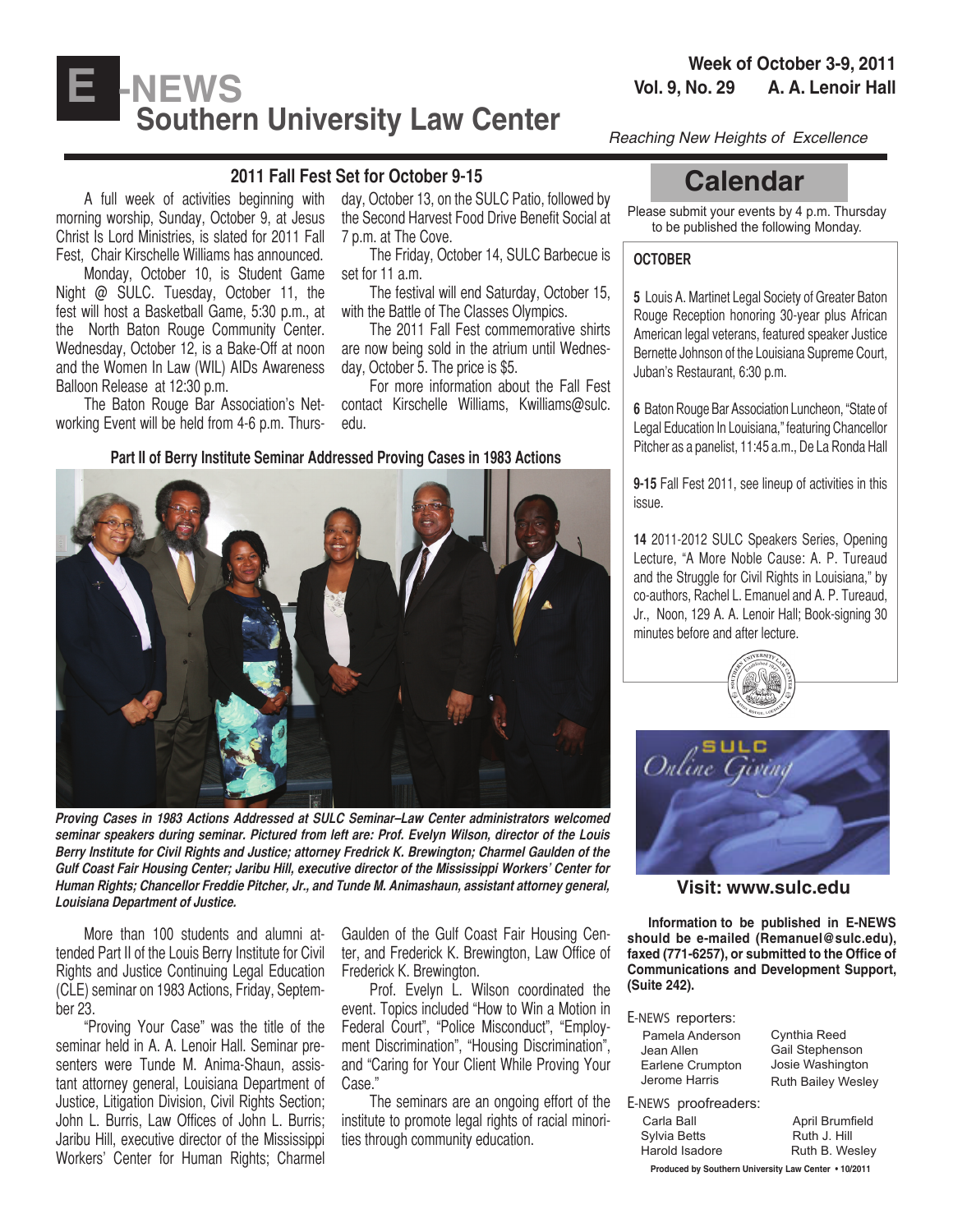# **Vol. 9, No. 29 A. A. Lenoir Hall**<br>Vol. 9, No. 29 A. A. Lenoir Hall **Southern University Law Center** *Reaching New Heights of Excellence*

# **2011 Fall Fest Set for October 9-15**

A full week of activities beginning with morning worship, Sunday, October 9, at Jesus Christ Is Lord Ministries, is slated for 2011 Fall Fest, Chair Kirschelle Williams has announced.

Monday, October 10, is Student Game Night @ SULC. Tuesday, October 11, the fest will host a Basketball Game, 5:30 p.m., at the North Baton Rouge Community Center. Wednesday, October 12, is a Bake-Off at noon and the Women In Law (WIL) AIDs Awareness Balloon Release at 12:30 p.m.

The Baton Rouge Bar Association's Networking Event will be held from 4-6 p.m. Thurs-

day, October 13, on the SULC Patio, followed by the Second Harvest Food Drive Benefit Social at 7 p.m. at The Cove.

The Friday, October 14, SULC Barbecue is set for 11 a.m.

The festival will end Saturday, October 15, with the Battle of The Classes Olympics.

The 2011 Fall Fest commemorative shirts are now being sold in the atrium until Wednesday, October 5. The price is \$5.

For more information about the Fall Fest contact Kirschelle Williams, Kwilliams@sulc. edu.

**Part II of Berry Institute Seminar Addressed Proving Cases in 1983 Actions**



**Proving Cases in 1983 Actions Addressed at SULC Seminar–Law Center administrators welcomed seminar speakers during seminar. Pictured from left are: Prof. Evelyn Wilson, director of the Louis Berry Institute for Civil Rights and Justice; attorney Fredrick K. Brewington; Charmel Gaulden of the Gulf Coast Fair Housing Center; Jaribu Hill, executive director of the Mississippi Workers' Center for Human Rights; Chancellor Freddie Pitcher, Jr., and Tunde M. Animashaun, assistant attorney general, Louisiana Department of Justice.**

More than 100 students and alumni attended Part II of the Louis Berry Institute for Civil Rights and Justice Continuing Legal Education (CLE) seminar on 1983 Actions, Friday, September 23.

"Proving Your Case" was the title of the seminar held in A. A. Lenoir Hall. Seminar presenters were Tunde M. Anima-Shaun, assistant attorney general, Louisiana Department of Justice, Litigation Division, Civil Rights Section; John L. Burris, Law Offices of John L. Burris; Jaribu Hill, executive director of the Mississippi Workers' Center for Human Rights; Charmel Gaulden of the Gulf Coast Fair Housing Center, and Frederick K. Brewington, Law Office of Frederick K. Brewington.

Prof. Evelyn L. Wilson coordinated the event. Topics included "How to Win a Motion in Federal Court", "Police Misconduct", "Employment Discrimination", "Housing Discrimination", and "Caring for Your Client While Proving Your Case."

The seminars are an ongoing effort of the institute to promote legal rights of racial minorities through community education.

# **Calendar**

Please submit your events by 4 p.m. Thursday to be published the following Monday.

#### **OCTOBER**

**5** Louis A. Martinet Legal Society of Greater Baton Rouge Reception honoring 30-year plus African American legal veterans, featured speaker Justice Bernette Johnson of the Louisiana Supreme Court, Juban's Restaurant, 6:30 p.m.

**6** Baton Rouge Bar Association Luncheon, "State of Legal Education In Louisiana," featuring Chancellor Pitcher as a panelist, 11:45 a.m., De La Ronda Hall

**9-15** Fall Fest 2011, see lineup of activities in this issue.

**14** 2011-2012 SULC Speakers Series, Opening Lecture, "A More Noble Cause: A. P. Tureaud and the Struggle for Civil Rights in Louisiana," by co-authors, Rachel L. Emanuel and A. P. Tureaud, Jr., Noon, 129 A. A. Lenoir Hall; Book-signing 30 minutes before and after lecture.





**Visit: www.sulc.edu**

 **Information to be published in E-NEWS should be e-mailed (Remanuel@sulc.edu), faxed (771-6257), or submitted to the Office of Communications and Development Support, (Suite 242).** 

#### E-NEWS reporters:

| Pamela Anderson<br>Jean Allen<br>Earlene Crumpton<br>Jerome Harris | Cynthia Reed<br>Gail Stephenson<br>Josie Washington<br><b>Ruth Bailey Wesley</b> |
|--------------------------------------------------------------------|----------------------------------------------------------------------------------|
| E-NEWS proofreaders:                                               |                                                                                  |
| Carla Ball                                                         | April Brumfield                                                                  |
| Sylvia Betts                                                       | Ruth J. Hill                                                                     |
| Harold Isadore                                                     | Ruth B Wesley                                                                    |

**Produced by Southern University Law Center • 10/2011**